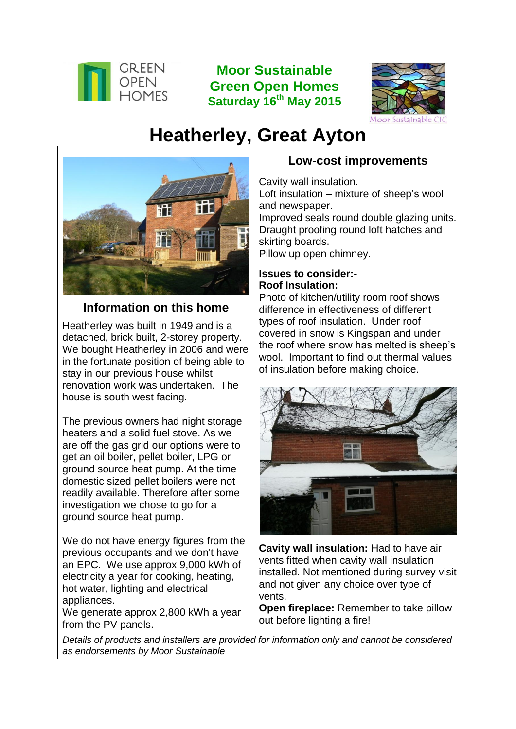

## **Moor Sustainable Green Open Homes Saturday 16th May 2015**



# **Heatherley, Great Ayton**



## **Information on this home**

Heatherley was built in 1949 and is a detached, brick built, 2-storey property. We bought Heatherley in 2006 and were in the fortunate position of being able to stay in our previous house whilst renovation work was undertaken. The house is south west facing.

The previous owners had night storage heaters and a solid fuel stove. As we are off the gas grid our options were to get an oil boiler, pellet boiler, LPG or ground source heat pump. At the time domestic sized pellet boilers were not readily available. Therefore after some investigation we chose to go for a ground source heat pump.

We do not have energy figures from the previous occupants and we don't have an EPC. We use approx 9,000 kWh of electricity a year for cooking, heating, hot water, lighting and electrical appliances.

We generate approx 2,800 kWh a year from the PV panels.

### **Low-cost improvements**

Cavity wall insulation. Loft insulation – mixture of sheep's wool and newspaper. Improved seals round double glazing units.

Draught proofing round loft hatches and skirting boards. Pillow up open chimney.

#### **Issues to consider:- Roof Insulation:**

Photo of kitchen/utility room roof shows difference in effectiveness of different types of roof insulation. Under roof covered in snow is Kingspan and under the roof where snow has melted is sheep's wool. Important to find out thermal values of insulation before making choice.



**Cavity wall insulation:** Had to have air vents fitted when cavity wall insulation installed. Not mentioned during survey visit and not given any choice over type of vents.

**Open fireplace:** Remember to take pillow out before lighting a fire!

*Details of products and installers are provided for information only and cannot be considered as endorsements by Moor Sustainable*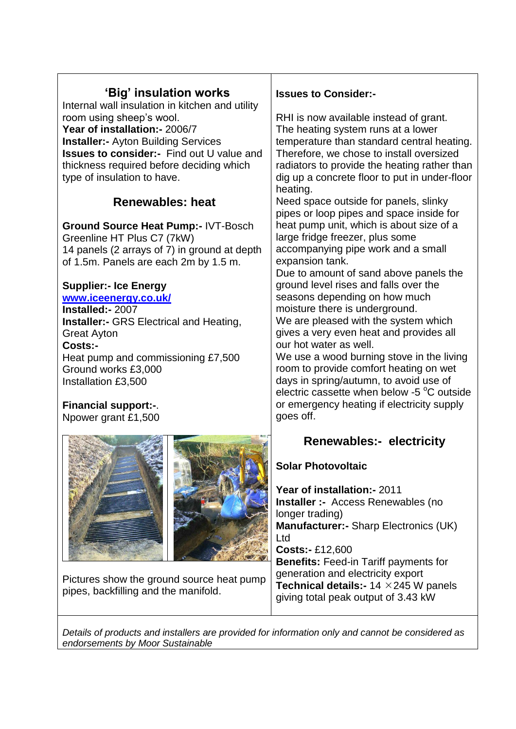### **'Big' insulation works**

Internal wall insulation in kitchen and utility room using sheep's wool. **Year of installation:-** 2006/7 **Installer:**- Ayton Building Services **Issues to consider:-** Find out U value and thickness required before deciding which type of insulation to have.

#### **Renewables: heat**

**Ground Source Heat Pump:-** IVT-Bosch Greenline HT Plus C7 (7kW) 14 panels (2 arrays of 7) in ground at depth of 1.5m. Panels are each 2m by 1.5 m.

#### **Supplier:- Ice Energy [www.iceenergy.co.uk/](http://www.iceenergy.co.uk/)**

**Installed:-** 2007 **Installer:-** GRS Electrical and Heating, Great Ayton **Costs:-** Heat pump and commissioning £7,500 Ground works £3,000 Installation £3,500

#### **Financial support:-**. Npower grant £1,500



Pictures show the ground source heat pump pipes, backfilling and the manifold.

#### **Issues to Consider:-**

RHI is now available instead of grant. The heating system runs at a lower temperature than standard central heating. Therefore, we chose to install oversized radiators to provide the heating rather than dig up a concrete floor to put in under-floor heating.

Need space outside for panels, slinky pipes or loop pipes and space inside for heat pump unit, which is about size of a large fridge freezer, plus some accompanying pipe work and a small expansion tank.

Due to amount of sand above panels the ground level rises and falls over the seasons depending on how much moisture there is underground.

We are pleased with the system which gives a very even heat and provides all our hot water as well.

We use a wood burning stove in the living room to provide comfort heating on wet days in spring/autumn, to avoid use of electric cassette when below -5 $\degree$ C outside or emergency heating if electricity supply goes off.

## **Renewables:- electricity**

#### **Solar Photovoltaic**

**Year of installation:-** 2011 **Installer :-** Access Renewables (no longer trading) **Manufacturer:-** Sharp Electronics (UK) Ltd **Costs:-** £12,600 **Benefits:** Feed-in Tariff payments for generation and electricity export **Technical details:- 14 × 245 W panels** giving total peak output of 3.43 kW

*Details of products and installers are provided for information only and cannot be considered as endorsements by Moor Sustainable*